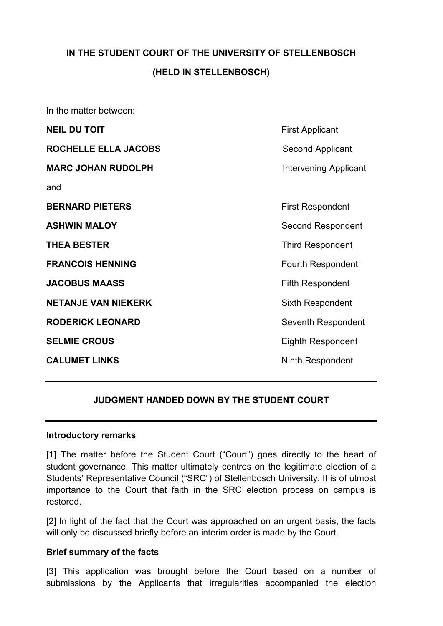# **IN THE STUDENT COURT OF THE UNIVERSITY OF STELLENBOSCH (HELD IN STELLENBOSCH)**

In the matter between:

| <b>NEIL DU TOIT</b>        | <b>First Applicant</b>   |
|----------------------------|--------------------------|
| ROCHELLE ELLA JACOBS       | <b>Second Applicant</b>  |
| <b>MARC JOHAN RUDOLPH</b>  | Intervening Applicant    |
| and                        |                          |
| <b>BERNARD PIETERS</b>     | <b>First Respondent</b>  |
| <b>ASHWIN MALOY</b>        | Second Respondent        |
| <b>THEA BESTER</b>         | <b>Third Respondent</b>  |
| <b>FRANCOIS HENNING</b>    | <b>Fourth Respondent</b> |
| <b>JACOBUS MAASS</b>       | Fifth Respondent         |
| <b>NETANJE VAN NIEKERK</b> | Sixth Respondent         |
| <b>RODERICK LEONARD</b>    | Seventh Respondent       |
| <b>SELMIE CROUS</b>        | Eighth Respondent        |
| <b>CALUMET LINKS</b>       | Ninth Respondent         |
|                            |                          |

## **JUDGMENT HANDED DOWN BY THE STUDENT COURT**

#### **Introductory remarks**

[1] The matter before the Student Court ("Court") goes directly to the heart of student governance. This matter ultimately centres on the legitimate election of a Students' Representative Council ("SRC") of Stellenbosch University. It is of utmost importance to the Court that faith in the SRC election process on campus is restored.

[2] In light of the fact that the Court was approached on an urgent basis, the facts will only be discussed briefly before an interim order is made by the Court.

#### **Brief summary of the facts**

[3] This application was brought before the Court based on a number of submissions by the Applicants that irregularities accompanied the election